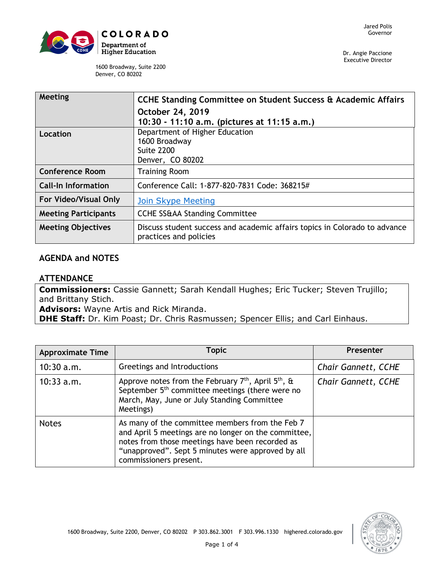

Dr. Angie Paccione Executive Director

1600 Broadway, Suite 2200 Denver, CO 80202

| Meeting                     | CCHE Standing Committee on Student Success & Academic Affairs                                        |  |  |
|-----------------------------|------------------------------------------------------------------------------------------------------|--|--|
|                             | October 24, 2019                                                                                     |  |  |
|                             | 10:30 - 11:10 a.m. (pictures at 11:15 a.m.)                                                          |  |  |
| Location                    | Department of Higher Education                                                                       |  |  |
|                             | 1600 Broadway                                                                                        |  |  |
|                             | <b>Suite 2200</b>                                                                                    |  |  |
|                             | Denver, CO 80202                                                                                     |  |  |
| <b>Conference Room</b>      | <b>Training Room</b>                                                                                 |  |  |
| <b>Call-In Information</b>  | Conference Call: 1-877-820-7831 Code: 368215#                                                        |  |  |
| For Video/Visual Only       | <b>Join Skype Meeting</b>                                                                            |  |  |
| <b>Meeting Participants</b> | <b>CCHE SS&amp;AA Standing Committee</b>                                                             |  |  |
| <b>Meeting Objectives</b>   | Discuss student success and academic affairs topics in Colorado to advance<br>practices and policies |  |  |

## **AGENDA and NOTES**

## **ATTENDANCE**

**Commissioners:** Cassie Gannett; Sarah Kendall Hughes; Eric Tucker; Steven Trujillo; and Brittany Stich.

**Advisors:** Wayne Artis and Rick Miranda.

**DHE Staff:** Dr. Kim Poast; Dr. Chris Rasmussen; Spencer Ellis; and Carl Einhaus.

| <b>Approximate Time</b> | <b>Topic</b>                                                                                                                                                                                                                              | Presenter                  |
|-------------------------|-------------------------------------------------------------------------------------------------------------------------------------------------------------------------------------------------------------------------------------------|----------------------------|
| $10:30$ a.m.            | Greetings and Introductions                                                                                                                                                                                                               | <b>Chair Gannett, CCHE</b> |
| $10:33$ a.m.            | Approve notes from the February $7th$ , April $5th$ , &<br>September 5 <sup>th</sup> committee meetings (there were no<br>March, May, June or July Standing Committee<br>Meetings)                                                        | <b>Chair Gannett, CCHE</b> |
| <b>Notes</b>            | As many of the committee members from the Feb 7<br>and April 5 meetings are no longer on the committee,<br>notes from those meetings have been recorded as<br>"unapproved". Sept 5 minutes were approved by all<br>commissioners present. |                            |

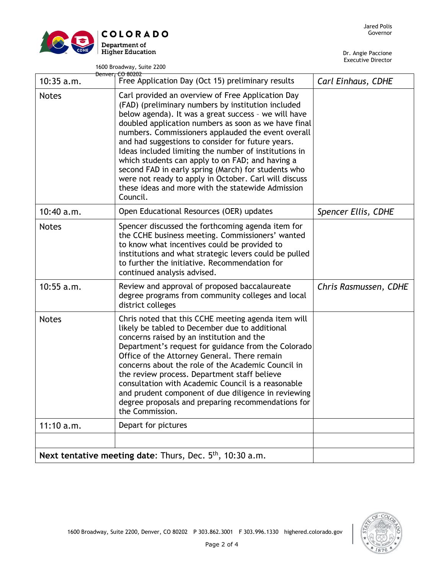

1600 Broadway, Suite 2200

|                                                             | <b>Denver, CO 80202</b>                                                                                                                                                                                                                                                                                                                                                                                                                                                                                                                                                                                                          |                       |
|-------------------------------------------------------------|----------------------------------------------------------------------------------------------------------------------------------------------------------------------------------------------------------------------------------------------------------------------------------------------------------------------------------------------------------------------------------------------------------------------------------------------------------------------------------------------------------------------------------------------------------------------------------------------------------------------------------|-----------------------|
| $10:35$ a.m.                                                | Free Application Day (Oct 15) preliminary results                                                                                                                                                                                                                                                                                                                                                                                                                                                                                                                                                                                | Carl Einhaus, CDHE    |
| <b>Notes</b>                                                | Carl provided an overview of Free Application Day<br>(FAD) (preliminary numbers by institution included<br>below agenda). It was a great success - we will have<br>doubled application numbers as soon as we have final<br>numbers. Commissioners applauded the event overall<br>and had suggestions to consider for future years.<br>Ideas included limiting the number of institutions in<br>which students can apply to on FAD; and having a<br>second FAD in early spring (March) for students who<br>were not ready to apply in October. Carl will discuss<br>these ideas and more with the statewide Admission<br>Council. |                       |
| 10:40 a.m.                                                  | Open Educational Resources (OER) updates                                                                                                                                                                                                                                                                                                                                                                                                                                                                                                                                                                                         | Spencer Ellis, CDHE   |
| <b>Notes</b>                                                | Spencer discussed the forthcoming agenda item for<br>the CCHE business meeting. Commissioners' wanted<br>to know what incentives could be provided to<br>institutions and what strategic levers could be pulled<br>to further the initiative. Recommendation for<br>continued analysis advised.                                                                                                                                                                                                                                                                                                                                  |                       |
| $10:55$ a.m.                                                | Review and approval of proposed baccalaureate<br>degree programs from community colleges and local<br>district colleges                                                                                                                                                                                                                                                                                                                                                                                                                                                                                                          | Chris Rasmussen, CDHE |
| <b>Notes</b>                                                | Chris noted that this CCHE meeting agenda item will<br>likely be tabled to December due to additional<br>concerns raised by an institution and the<br>Department's request for guidance from the Colorado<br>Office of the Attorney General. There remain<br>concerns about the role of the Academic Council in<br>the review process. Department staff believe<br>consultation with Academic Council is a reasonable<br>and prudent component of due diligence in reviewing<br>degree proposals and preparing recommendations for<br>the Commission.                                                                            |                       |
| 11:10 a.m.                                                  | Depart for pictures                                                                                                                                                                                                                                                                                                                                                                                                                                                                                                                                                                                                              |                       |
|                                                             |                                                                                                                                                                                                                                                                                                                                                                                                                                                                                                                                                                                                                                  |                       |
| Next tentative meeting date: Thurs, Dec. $5th$ , 10:30 a.m. |                                                                                                                                                                                                                                                                                                                                                                                                                                                                                                                                                                                                                                  |                       |

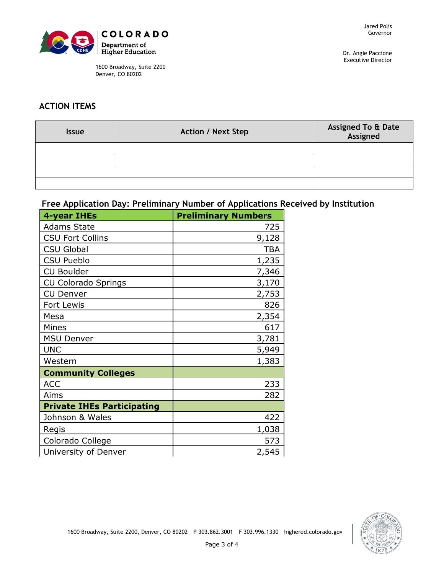

1600 Broadway, Suite 2200 Denver, CO 80202

Dr. Angie Paccione Executive Director

## **ACTION ITEMS**

| <b>Issue</b> | <b>Action / Next Step</b> | Assigned To & Date<br>Assigned |
|--------------|---------------------------|--------------------------------|
|              |                           |                                |
|              |                           |                                |
|              |                           |                                |
|              |                           |                                |

## **Free Application Day: Preliminary Number of Applications Received by Institution**

| <b>4-year IHEs</b>                | <b>Preliminary Numbers</b> |
|-----------------------------------|----------------------------|
| <b>Adams State</b>                | 725                        |
| <b>CSU Fort Collins</b>           | 9,128                      |
| <b>CSU Global</b>                 | <b>TBA</b>                 |
| <b>CSU Pueblo</b>                 | 1,235                      |
| <b>CU Boulder</b>                 | 7,346                      |
| <b>CU Colorado Springs</b>        | 3,170                      |
| <b>CU Denver</b>                  | 2,753                      |
| Fort Lewis                        | 826                        |
| Mesa                              | 2,354                      |
| Mines                             | 617                        |
| <b>MSU Denver</b>                 | 3,781                      |
| <b>UNC</b>                        | 5,949                      |
| Western                           | 1,383                      |
| <b>Community Colleges</b>         |                            |
| <b>ACC</b>                        | 233                        |
| Aims                              | 282                        |
| <b>Private IHEs Participating</b> |                            |
| Johnson & Wales                   | 422                        |
| Regis                             | 1,038                      |
| Colorado College                  | 573                        |
| University of Denver              | 2,545                      |